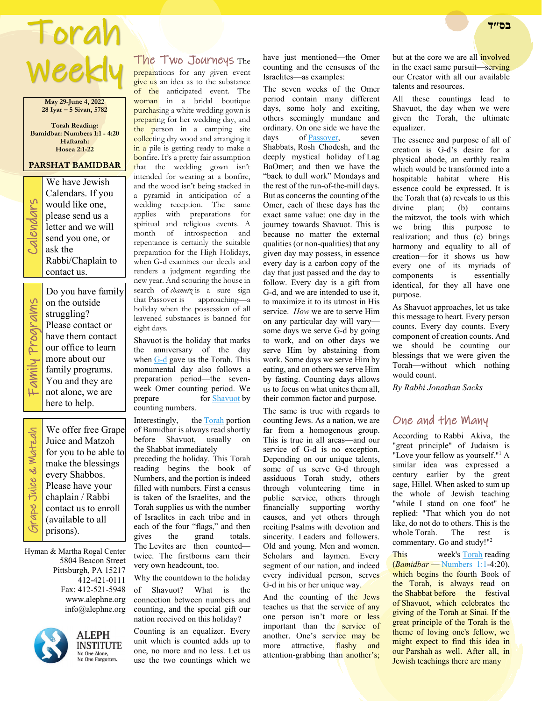# Torah **בס״ד**  Weekly

**May 29-June 4, 2022 28 Iyar – 5 Sivan, 5782**

**Torah Reading: Bamidbar: Numbers 1:1 - 4:20 Haftarah: Hosea 2:1-22**

### **PARSHAT BAMIDBAR**

We have Jewish<br>Calendars. If you<br>would like one,<br>please send us a<br>letter and we will<br>send you one, or<br>ask the Calendars. If you would like one, please send us a letter and we will send you one, or ask the Rabbi/Chaplain to contact us.

> Do you have family on the outside struggling? Please contact or

our office to learn more about our family programs.

Family Programs Family Programs have them contact

Grape Juice & Matzah

Grape Juice & Watzah

You and they are not alone, we are here to help.We offer free Grape Juice and Matzoh for you to be able to make the blessings every Shabbos. Please have your chaplain / Rabbi contact us to enroll

Hyman & Martha Rogal Center 5804 Beacon Street Pittsburgh, PA 15217 412-421-0111 Fax: 412-521-5948 www.alephne.org info@alephne.org

(available to all prisons).



**ALEPH INSTITUTE** No One Alone,<br>No One Forgotten.

## The Two Journeys The

preparations for any given event give us an idea as to the substance of the anticipated event. The woman in a bridal boutique purchasing a white wedding gown is preparing for her wedding day, and the person in a camping site collecting dry wood and arranging it in a pile is getting ready to make a bonfire. It's a pretty fair assumption that the wedding gown isn't intended for wearing at a bonfire, and the wood isn't being stacked in a pyramid in anticipation of a wedding reception. The same applies with preparations for spiritual and religious events. A month of introspection and repentance is certainly the suitable preparation for the High Holidays, when G-d examines our deeds and renders a judgment regarding the new year. And scouring the house in search of *chametz* is a sure sign that Passover is approaching—a holiday when the possession of all leavened substances is banned for eight days.

Shavuot is the holiday that marks the anniversary of the day when G-d gave us the Torah. This monumental day also follows a preparation period—the sevenweek Omer counting period. We<br>prepare for Shavuot by for Shavuot by counting numbers.

Interestingly, the Torah portion of Bamidbar is always read shortly before Shavuot, usually on the Shabbat immediately

preceding the holiday. This Torah reading begins the book of Numbers, and the portion is indeed filled with numbers. First a census is taken of the Israelites, and the Torah supplies us with the number of Israelites in each tribe and in each of the four "flags," and then<br>gives the grand totals. the grand totals. The Levites are then counted twice. The firstborns earn their very own headcount, too.

Why the countdown to the holiday

of Shavuot? What is the connection between numbers and counting, and the special gift our nation received on this holiday?

Counting is an equalizer. Every unit which is counted adds up to one, no more and no less. Let us use the two countings which we

have just mentioned—the Omer counting and the censuses of the Israelites—as examples:

The seven weeks of the Omer period contain many different days, some holy and exciting, others seemingly mundane and ordinary. On one side we have the days of Passover, seven Shabbats, Rosh Chodesh, and the deeply mystical holiday of Lag BaOmer; and then we have the "back to dull work" Mondays and the rest of the run-of-the-mill days. But as concerns the counting of the Omer, each of these days has the exact same value: one day in the journey towards Shavuot. This is because no matter the external qualities (or non-qualities) that any given day may possess, in essence every day is a carbon copy of the day that just passed and the day to follow. Every day is a gift from G-d, and we are intended to use it, to maximize it to its utmost in His service. *How* we are to serve Him on any particular day will vary some days we serve G-d by going to work, and on other days we serve Him by abstaining from work. Some days we serve Him by eating, and on others we serve Him by fasting. Counting days allows us to focus on what unites them all, their common factor and purpose.

The same is true with regards to counting Jews. As a nation, we are far from a homogenous group. This is true in all areas—and our service of G-d is no exception. Depending on our unique talents, some of us serve G-d through assiduous Torah study, others through volunteering time in public service, others through financially supporting worthy causes, and yet others through reciting Psalms with devotion and sincerity. Leaders and followers. Old and young. Men and women. Scholars and laymen. Every segment of our nation, and indeed every individual person, serves G-d in his or her unique way.

And the counting of the Jews teaches us that the service of any one person isn't more or less important than the service of another. One's service may be more attractive, flashy and attention-grabbing than another's;

but at the core we are all **involved** in the exact same pursuit—serving our Creator with all our available talents and resources.

All these countings lead to Shavuot, the day when we were given the Torah, the ultimate equalizer.

The essence and purpose of all of creation is G-d's desire for a physical abode, an earthly realm which would be transformed into a hospitable habitat where His essence could be expressed. It is the Torah that (a) reveals to us this divine plan; (b) contains the mitzvot, the tools with which we bring this purpose to realization; and thus (c) brings harmony and equality to all of creation—for it shows us how every one of its myriads of components is essentially identical, for they all have one purpose.

As Shavuot approaches, let us take this message to heart. Every person counts. Every day counts. Every component of creation counts. And we should be counting our blessings that we were given the Torah—without which nothing would count.

*By Rabbi Jonathan Sacks*

## One and the Many

According to Rabbi Akiva, the "great principle" of Judaism is "Love your fellow as yourself."1 A similar idea was expressed a century earlier by the great sage, Hillel. When asked to sum up the whole of Jewish teaching "while I stand on one foot" he replied: "That which you do not like, do not do to others. This is the whole Torah. The rest is commentary. Go and study!"2

This week's Torah reading (*Bamidbar* — Numbers 1:1-4:20), which begins the fourth Book of the Torah, is always read on the Shabbat before the festival of Shavuot, which celebrates the giving of the Torah at Sinai. If the great principle of the Torah is the theme of loving one's fellow, we might expect to find this idea in our Parshah as well. After all, in Jewish teachings there are many